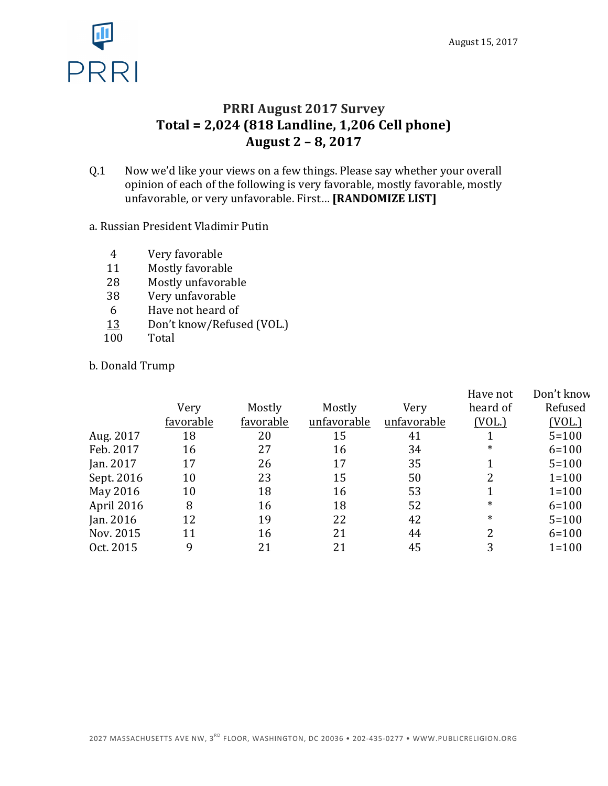

### **PRRI August 2017 Survey Total = 2,024 (818 Landline, 1,206 Cell phone) August 2 – 8, 2017**

Q.1 Now we'd like your views on a few things. Please say whether your overall opinion of each of the following is very favorable, mostly favorable, mostly unfavorable, or very unfavorable. First... [RANDOMIZE LIST]

#### a. Russian President Vladimir Putin

- 4 Very favorable
- 11 Mostly favorable
- 28 Mostly unfavorable
- 38 Very unfavorable
- 6 Have not heard of
- 13 Don't know/Refused (VOL.)
- 100 Total

#### b. Donald Trump

|           |           |             |             | Have not | Don't know    |
|-----------|-----------|-------------|-------------|----------|---------------|
| Very      | Mostly    | Mostly      | Very        | heard of | Refused       |
| favorable | favorable | unfavorable | unfavorable | (VOL.)   | <u>(VOL.)</u> |
| 18        | 20        | 15          | 41          |          | $5 = 100$     |
| 16        | 27        | 16          | 34          | $\ast$   | $6 = 100$     |
| 17        | 26        | 17          | 35          |          | $5 = 100$     |
| 10        | 23        | 15          | 50          |          | $1 = 100$     |
| 10        | 18        | 16          | 53          |          | $1 = 100$     |
| 8         | 16        | 18          | 52          | $\ast$   | $6 = 100$     |
| 12        | 19        | 22          | 42          | $\ast$   | $5 = 100$     |
| 11        | 16        | 21          | 44          | 2        | $6 = 100$     |
| 9         | 21        | 21          | 45          | 3        | $1 = 100$     |
|           |           |             |             |          |               |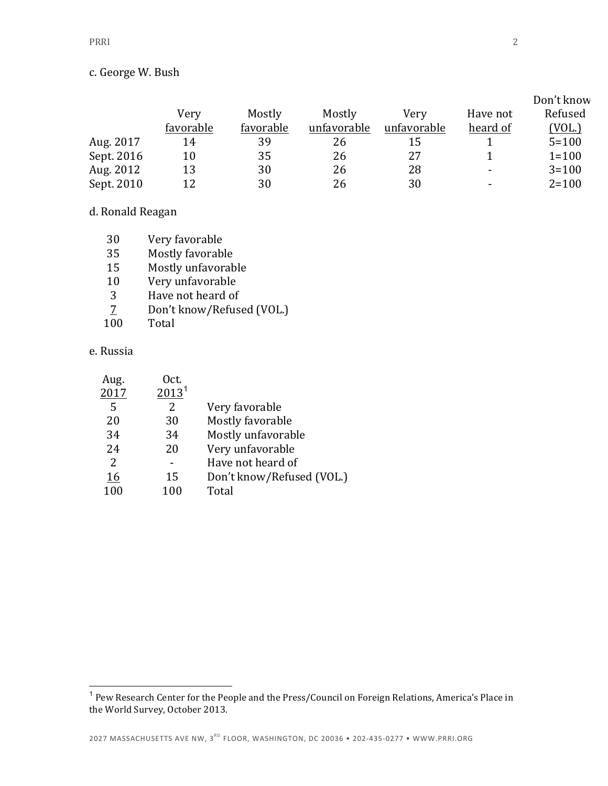|            |           |           |             |             |          | Don't know |
|------------|-----------|-----------|-------------|-------------|----------|------------|
|            | Very      | Mostly    | Mostly      | Verv        | Have not | Refused    |
|            | favorable | favorable | unfavorable | unfavorable | heard of | (VOL.)     |
| Aug. 2017  | 14        | 39        | 26          | 15          |          | $5 = 100$  |
| Sept. 2016 | 10        | 35        | 26          | 27          |          | $1 = 100$  |
| Aug. 2012  | 13        | 30        | 26          | 28          | -        | $3 = 100$  |
| Sept. 2010 | 12        | 30        | 26          | 30          | -        | $2 = 100$  |

#### d. Ronald Reagan

| 30<br>Very favorable |  |
|----------------------|--|
|----------------------|--|

- 35 Mostly favorable
- 15 Mostly unfavorable
- 10 Very unfavorable
- 
- 3 Have not heard of  $\overline{2}$  Don't know/Refus Don't know/Refused (VOL.)
- 100 Total

#### e. Russia

| Aug. | Oct.              |                           |
|------|-------------------|---------------------------|
| 2017 | 2013 <sup>1</sup> |                           |
| 5    | 2                 | Very favorable            |
| 20   | 30                | Mostly favorable          |
| 34   | 34                | Mostly unfavorable        |
| 24   | 20                | Very unfavorable          |
| 2    |                   | Have not heard of         |
| 16   | 15                | Don't know/Refused (VOL.) |
| 100  | 100               | Total                     |
|      |                   |                           |

 $^{\rm 1}$  Pew Research Center for the People and the Press/Council on Foreign Relations, America's Place in the World Survey, October 2013.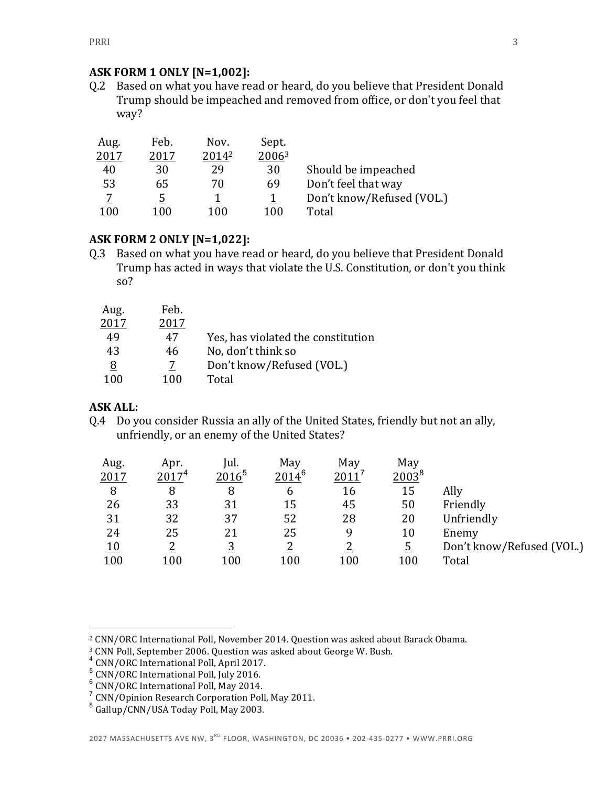#### **ASK FORM 1 ONLY [N=1,002]:**

Q.2 Based on what you have read or heard, do you believe that President Donald Trump should be impeached and removed from office, or don't you feel that way?

| Aug. | Feb. | Nov.  | Sept. |                           |
|------|------|-------|-------|---------------------------|
| 2017 | 2017 | 20142 | 20063 |                           |
| 40   | 30   | 29    | 30    | Should be impeached       |
| 53   | 65   | 70    | 69    | Don't feel that way       |
|      | 5    |       |       | Don't know/Refused (VOL.) |
| 100  | 100  | 100   | 100   | Total                     |

#### **ASK FORM 2 ONLY [N=1,022]:**

Q.3 Based on what you have read or heard, do you believe that President Donald Trump has acted in ways that violate the U.S. Constitution, or don't you think so?

| Aug. | Feb. |                                    |
|------|------|------------------------------------|
| 2017 | 2017 |                                    |
| 49   | 47   | Yes, has violated the constitution |
| 43   | 46   | No, don't think so                 |
| 8    | 7    | Don't know/Refused (VOL.)          |
| 100  | 100  | Total                              |

#### **ASK ALL:**

 $\overline{a}$ 

Q.4 Do you consider Russia an ally of the United States, friendly but not an ally, unfriendly, or an enemy of the United States?

| Aug.       | Apr.              | Iul.     | May        | May           | May      |                           |
|------------|-------------------|----------|------------|---------------|----------|---------------------------|
| 2017       | 2017 <sup>4</sup> | $2016^5$ | $2014^{6}$ | <u> 2011 </u> | $2003^8$ |                           |
| 8          | 8                 | 8        | 6          | 16            | 15       | Ally                      |
| 26         | 33                | 31       | 15         | 45            | 50       | Friendly                  |
| 31         | 32                | 37       | 52         | 28            | 20       | Unfriendly                |
| 24         | 25                | 21       | 25         | 9             | 10       | Enemy                     |
| <u> 10</u> |                   | <u>3</u> |            | າ             | <u>5</u> | Don't know/Refused (VOL.) |
| 100        | 100               | 100      | 100        | 100           | 100      | Total                     |

<sup>&</sup>lt;sup>2</sup> CNN/ORC International Poll, November 2014. Question was asked about Barack Obama.

<sup>&</sup>lt;sup>3</sup> CNN Poll, September 2006. Question was asked about George W. Bush.

<sup>&</sup>lt;sup>4</sup> CNN/ORC International Poll, April 2017.

 $^5$  CNN/ORC International Poll, July 2016.

 $6$  CNN/ORC International Poll, May 2014.

 $7$  CNN/Opinion Research Corporation Poll, May 2011.

 $8$  Gallup/CNN/USA Today Poll, May 2003.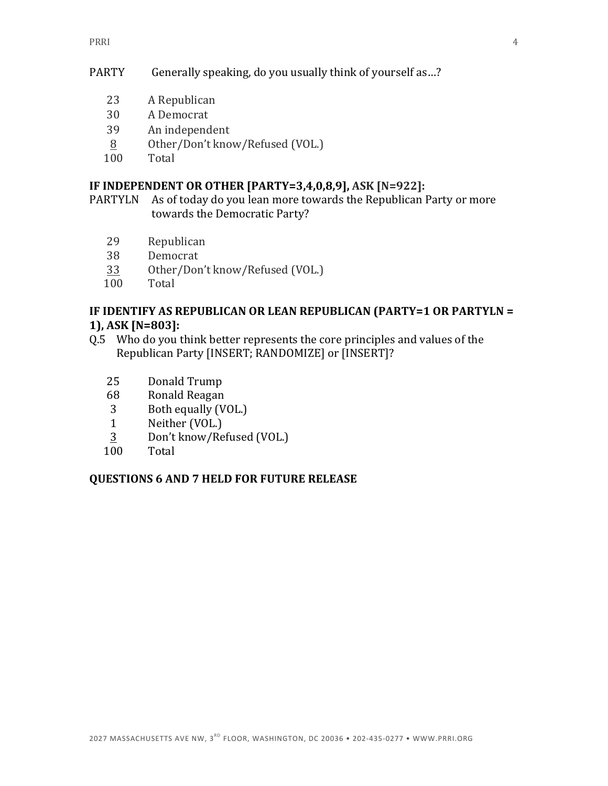#### PARTY Generally speaking, do you usually think of yourself as...?

- 23 A Republican
- 30 A Democrat
- 39 An independent
- 8 Other/Don't know/Refused (VOL.)
- 100 Total

#### **IF INDEPENDENT OR OTHER [PARTY=3,4,0,8,9], ASK [N=922]:**

PARTYLN As of today do you lean more towards the Republican Party or more towards the Democratic Party?

- 29 Republican
- 38 Democrat
- 33 Other/Don't know/Refused (VOL.)
- 100 Total

#### **IF IDENTIFY AS REPUBLICAN OR LEAN REPUBLICAN (PARTY=1 OR PARTYLN = 1), ASK [N=803]:**

- Q.5 Who do you think better represents the core principles and values of the Republican Party [INSERT; RANDOMIZE] or [INSERT]?
	- 25 Donald Trump
	- 68 Ronald Reagan
	- 3 Both equally (VOL.)
	- 1 Neither (VOL.)
	- 3 Don't know/Refused (VOL.)
	- 100 Total

#### **QUESTIONS 6 AND 7 HELD FOR FUTURE RELEASE**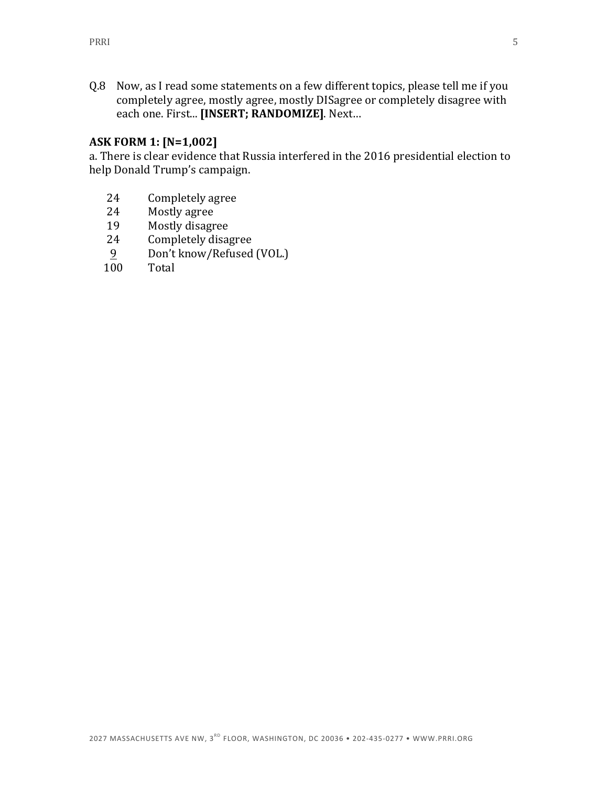Q.8 Now, as I read some statements on a few different topics, please tell me if you completely agree, mostly agree, mostly DISagree or completely disagree with each one. First... [INSERT; RANDOMIZE]. Next...

#### **ASK FORM 1: [N=1,002]**

a. There is clear evidence that Russia interfered in the 2016 presidential election to help Donald Trump's campaign.

- 24 Completely agree
- 24 Mostly agree
- 19 Mostly disagree
- 24 Completely disagree
- 9 Don't know/Refused (VOL.)
- 100 Total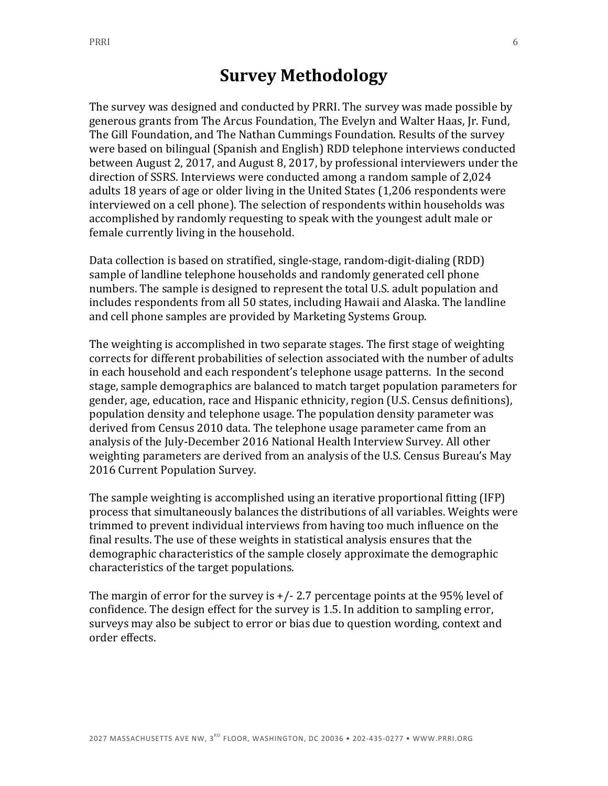## **Survey Methodology**

The survey was designed and conducted by PRRI. The survey was made possible by generous grants from The Arcus Foundation, The Evelyn and Walter Haas, Jr. Fund, The Gill Foundation, and The Nathan Cummings Foundation. Results of the survey were based on bilingual (Spanish and English) RDD telephone interviews conducted between August 2, 2017, and August 8, 2017, by professional interviewers under the direction of SSRS. Interviews were conducted among a random sample of 2,024 adults 18 years of age or older living in the United States (1,206 respondents were interviewed on a cell phone). The selection of respondents within households was accomplished by randomly requesting to speak with the youngest adult male or female currently living in the household.

Data collection is based on stratified, single-stage, random-digit-dialing (RDD) sample of landline telephone households and randomly generated cell phone numbers. The sample is designed to represent the total U.S. adult population and includes respondents from all 50 states, including Hawaii and Alaska. The landline and cell phone samples are provided by Marketing Systems Group.

The weighting is accomplished in two separate stages. The first stage of weighting corrects for different probabilities of selection associated with the number of adults in each household and each respondent's telephone usage patterns. In the second stage, sample demographics are balanced to match target population parameters for gender, age, education, race and Hispanic ethnicity, region (U.S. Census definitions), population density and telephone usage. The population density parameter was derived from Census 2010 data. The telephone usage parameter came from an analysis of the July-December 2016 National Health Interview Survey. All other weighting parameters are derived from an analysis of the U.S. Census Bureau's May 2016 Current Population Survey.

The sample weighting is accomplished using an iterative proportional fitting (IFP) process that simultaneously balances the distributions of all variables. Weights were trimmed to prevent individual interviews from having too much influence on the final results. The use of these weights in statistical analysis ensures that the demographic characteristics of the sample closely approximate the demographic characteristics of the target populations.

The margin of error for the survey is  $+/- 2.7$  percentage points at the 95% level of confidence. The design effect for the survey is 1.5. In addition to sampling error, surveys may also be subject to error or bias due to question wording, context and order effects.